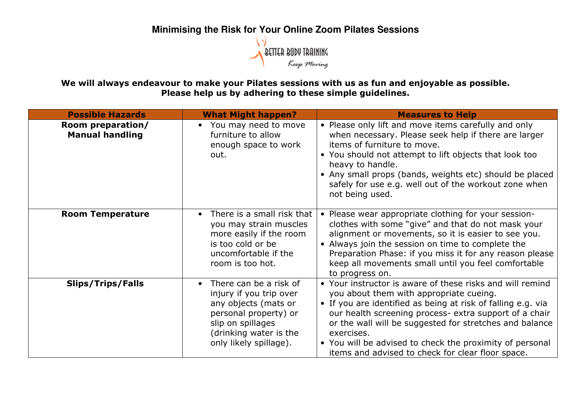## **Minimising the Risk for Your Online Zoom Pilates Sessions**

We will always endeavour to make your Pilates sessions with us as fun and enjoyable as possible. Please help us by adhering to these simple guidelines.

| <b>Possible Hazards</b>                     | <b>What Might happen?</b>                                                                                                                                                                | <b>Measures to Help</b>                                                                                                                                                                                                                                                                                                                                                                                                  |
|---------------------------------------------|------------------------------------------------------------------------------------------------------------------------------------------------------------------------------------------|--------------------------------------------------------------------------------------------------------------------------------------------------------------------------------------------------------------------------------------------------------------------------------------------------------------------------------------------------------------------------------------------------------------------------|
| Room preparation/<br><b>Manual handling</b> | You may need to move<br>$\bullet$<br>furniture to allow<br>enough space to work<br>out.                                                                                                  | • Please only lift and move items carefully and only<br>when necessary. Please seek help if there are larger<br>items of furniture to move.<br>• You should not attempt to lift objects that look too<br>heavy to handle.<br>• Any small props (bands, weights etc) should be placed<br>safely for use e.g. well out of the workout zone when<br>not being used.                                                         |
| <b>Room Temperature</b>                     | There is a small risk that<br>$\bullet$<br>you may strain muscles<br>more easily if the room<br>is too cold or be<br>uncomfortable if the<br>room is too hot.                            | Please wear appropriate clothing for your session-<br>clothes with some "give" and that do not mask your<br>alignment or movements, so it is easier to see you.<br>• Always join the session on time to complete the<br>Preparation Phase: if you miss it for any reason please<br>keep all movements small until you feel comfortable<br>to progress on.                                                                |
| <b>Slips/Trips/Falls</b>                    | There can be a risk of<br>$\bullet$<br>injury if you trip over<br>any objects (mats or<br>personal property) or<br>slip on spillages<br>(drinking water is the<br>only likely spillage). | • Your instructor is aware of these risks and will remind<br>you about them with appropriate cueing.<br>• If you are identified as being at risk of falling e.g. via<br>our health screening process- extra support of a chair<br>or the wall will be suggested for stretches and balance<br>exercises.<br>• You will be advised to check the proximity of personal<br>items and advised to check for clear floor space. |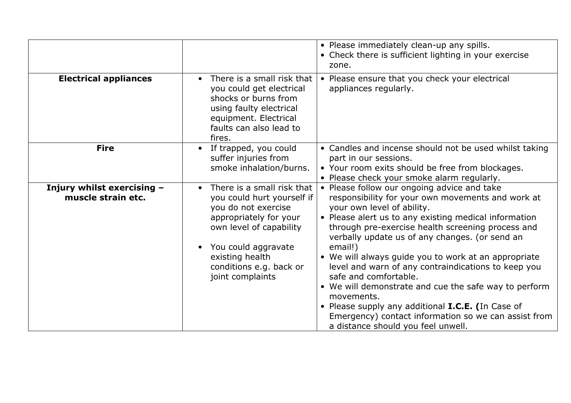|                                                  |                                                                                                                                                                                                                                            | • Please immediately clean-up any spills.<br>• Check there is sufficient lighting in your exercise<br>zone.                                                                                                                                                                                                                                                                                                                                                                                                                                                                                                                                                                 |
|--------------------------------------------------|--------------------------------------------------------------------------------------------------------------------------------------------------------------------------------------------------------------------------------------------|-----------------------------------------------------------------------------------------------------------------------------------------------------------------------------------------------------------------------------------------------------------------------------------------------------------------------------------------------------------------------------------------------------------------------------------------------------------------------------------------------------------------------------------------------------------------------------------------------------------------------------------------------------------------------------|
| <b>Electrical appliances</b>                     | There is a small risk that<br>$\bullet$<br>you could get electrical<br>shocks or burns from<br>using faulty electrical<br>equipment. Electrical<br>faults can also lead to<br>fires.                                                       | Please ensure that you check your electrical<br>$\bullet$<br>appliances regularly.                                                                                                                                                                                                                                                                                                                                                                                                                                                                                                                                                                                          |
| <b>Fire</b>                                      | If trapped, you could<br>suffer injuries from<br>smoke inhalation/burns.                                                                                                                                                                   | • Candles and incense should not be used whilst taking<br>part in our sessions.<br>• Your room exits should be free from blockages.<br>• Please check your smoke alarm regularly.                                                                                                                                                                                                                                                                                                                                                                                                                                                                                           |
| Injury whilst exercising -<br>muscle strain etc. | There is a small risk that<br>$\bullet$<br>you could hurt yourself if<br>you do not exercise<br>appropriately for your<br>own level of capability<br>You could aggravate<br>existing health<br>conditions e.g. back or<br>joint complaints | • Please follow our ongoing advice and take<br>responsibility for your own movements and work at<br>your own level of ability.<br>• Please alert us to any existing medical information<br>through pre-exercise health screening process and<br>verbally update us of any changes. (or send an<br>email!)<br>• We will always guide you to work at an appropriate<br>level and warn of any contraindications to keep you<br>safe and comfortable.<br>• We will demonstrate and cue the safe way to perform<br>movements.<br>• Please supply any additional I.C.E. (In Case of<br>Emergency) contact information so we can assist from<br>a distance should you feel unwell. |